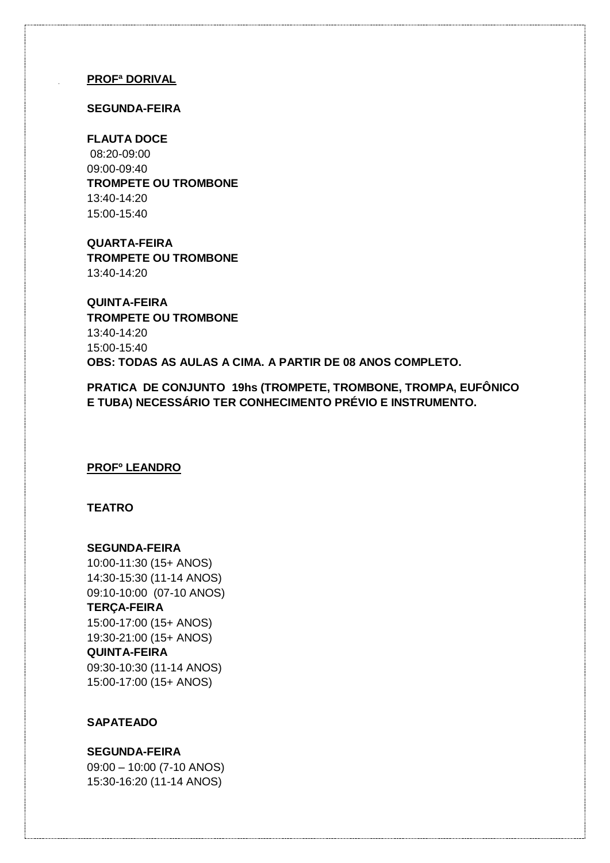#### **PROFª DORIVAL**

#### **SEGUNDA-FEIRA**

**FLAUTA DOCE** 08:20-09:00 09:00-09:40 **TROMPETE OU TROMBONE** 13:40-14:20 15:00-15:40

**QUARTA-FEIRA TROMPETE OU TROMBONE** 13:40-14:20

**QUINTA-FEIRA TROMPETE OU TROMBONE** 13:40-14:20 15:00-15:40 **OBS: TODAS AS AULAS A CIMA. A PARTIR DE 08 ANOS COMPLETO.**

**PRATICA DE CONJUNTO 19hs (TROMPETE, TROMBONE, TROMPA, EUFÔNICO E TUBA) NECESSÁRIO TER CONHECIMENTO PRÉVIO E INSTRUMENTO.**

#### **PROFº LEANDRO**

#### **TEATRO**

#### **SEGUNDA-FEIRA**

10:00-11:30 (15+ ANOS) 14:30-15:30 (11-14 ANOS) 09:10-10:00 (07-10 ANOS) **TERÇA-FEIRA** 15:00-17:00 (15+ ANOS) 19:30-21:00 (15+ ANOS) **QUINTA-FEIRA** 09:30-10:30 (11-14 ANOS) 15:00-17:00 (15+ ANOS)

#### **SAPATEADO**

# **SEGUNDA-FEIRA**

09:00 – 10:00 (7-10 ANOS) 15:30-16:20 (11-14 ANOS)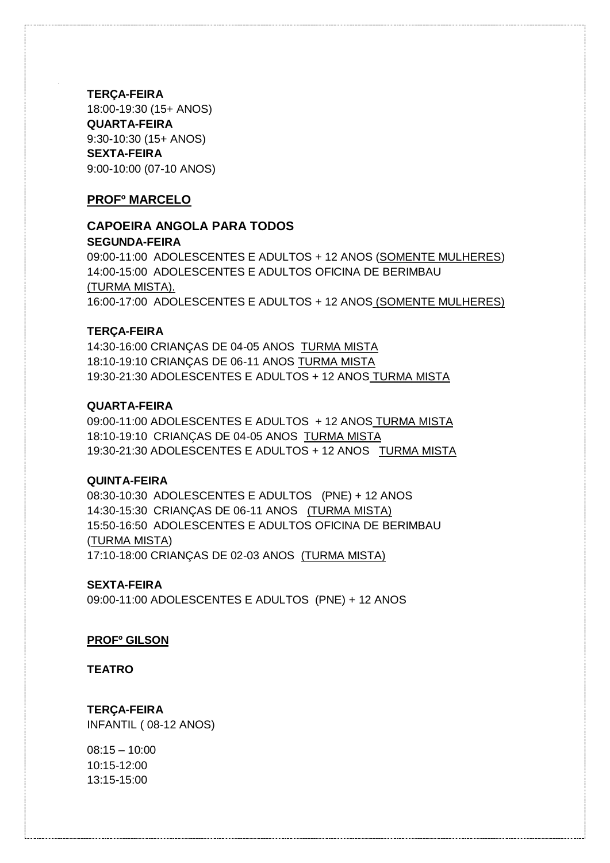**TERÇA-FEIRA** 18:00-19:30 (15+ ANOS) **QUARTA-FEIRA** 9:30-10:30 (15+ ANOS) **SEXTA-FEIRA** 9:00-10:00 (07-10 ANOS)

#### **PROFº MARCELO**

# **CAPOEIRA ANGOLA PARA TODOS SEGUNDA-FEIRA**

09:00-11:00 ADOLESCENTES E ADULTOS + 12 ANOS (SOMENTE MULHERES) 14:00-15:00 ADOLESCENTES E ADULTOS OFICINA DE BERIMBAU (TURMA MISTA). 16:00-17:00 ADOLESCENTES E ADULTOS + 12 ANOS (SOMENTE MULHERES)

#### **TERÇA-FEIRA**

14:30-16:00 CRIANÇAS DE 04-05 ANOS TURMA MISTA 18:10-19:10 CRIANÇAS DE 06-11 ANOS TURMA MISTA 19:30-21:30 ADOLESCENTES E ADULTOS + 12 ANOS TURMA MISTA

#### **QUARTA-FEIRA**

09:00-11:00 ADOLESCENTES E ADULTOS + 12 ANOS TURMA MISTA 18:10-19:10 CRIANÇAS DE 04-05 ANOS TURMA MISTA 19:30-21:30 ADOLESCENTES E ADULTOS + 12 ANOS TURMA MISTA

#### **QUINTA-FEIRA**

08:30-10:30 ADOLESCENTES E ADULTOS (PNE) + 12 ANOS 14:30-15:30 CRIANÇAS DE 06-11 ANOS (TURMA MISTA) 15:50-16:50 ADOLESCENTES E ADULTOS OFICINA DE BERIMBAU (TURMA MISTA) 17:10-18:00 CRIANÇAS DE 02-03 ANOS (TURMA MISTA)

#### **SEXTA-FEIRA**

09:00-11:00 ADOLESCENTES E ADULTOS (PNE) + 12 ANOS

#### **PROFº GILSON**

**TEATRO**

**TERÇA-FEIRA** INFANTIL ( 08-12 ANOS)

 $08:15 - 10:00$ 10:15-12:00 13:15-15:00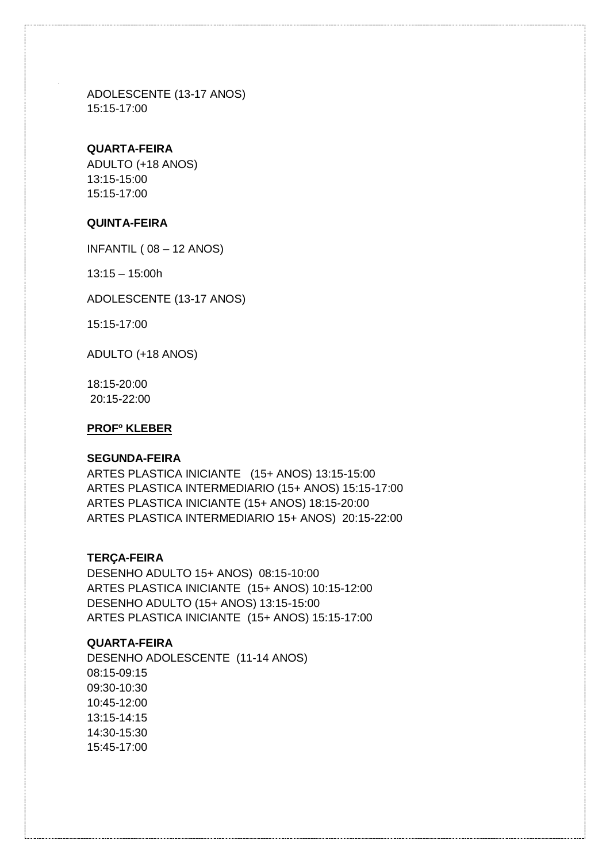ADOLESCENTE (13-17 ANOS) 15:15-17:00

#### **QUARTA-FEIRA**

ADULTO (+18 ANOS) 13:15-15:00 15:15-17:00

# **QUINTA-FEIRA**

INFANTIL ( 08 – 12 ANOS)

13:15 – 15:00h

ADOLESCENTE (13-17 ANOS)

15:15-17:00

ADULTO (+18 ANOS)

18:15-20:00 20:15-22:00

#### **PROFº KLEBER**

#### **SEGUNDA-FEIRA**

ARTES PLASTICA INICIANTE (15+ ANOS) 13:15-15:00 ARTES PLASTICA INTERMEDIARIO (15+ ANOS) 15:15-17:00 ARTES PLASTICA INICIANTE (15+ ANOS) 18:15-20:00 ARTES PLASTICA INTERMEDIARIO 15+ ANOS) 20:15-22:00

#### **TERÇA-FEIRA**

DESENHO ADULTO 15+ ANOS) 08:15-10:00 ARTES PLASTICA INICIANTE (15+ ANOS) 10:15-12:00 DESENHO ADULTO (15+ ANOS) 13:15-15:00 ARTES PLASTICA INICIANTE (15+ ANOS) 15:15-17:00

## **QUARTA-FEIRA**

DESENHO ADOLESCENTE (11-14 ANOS) 08:15-09:15 09:30-10:30 10:45-12:00 13:15-14:15 14:30-15:30 15:45-17:00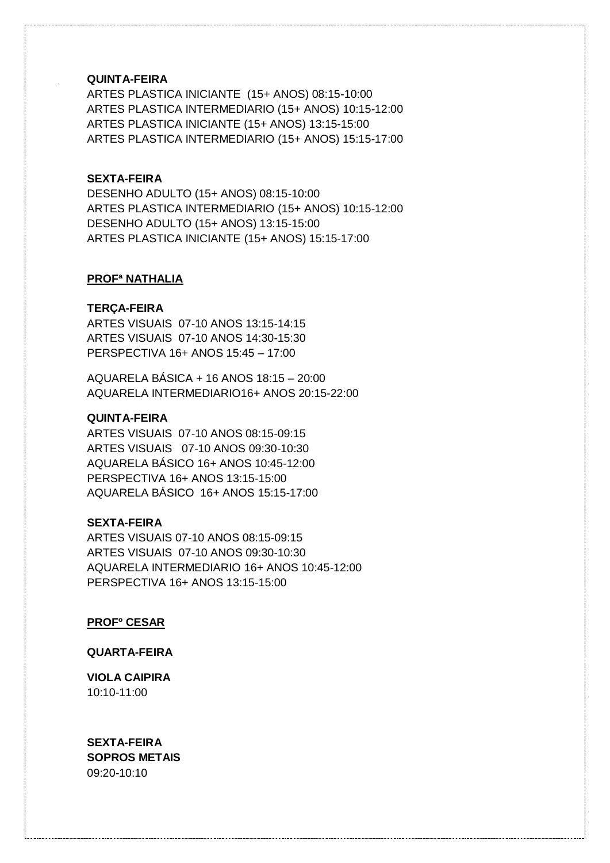# **QUINTA-FEIRA**

ARTES PLASTICA INICIANTE (15+ ANOS) 08:15-10:00 ARTES PLASTICA INTERMEDIARIO (15+ ANOS) 10:15-12:00 ARTES PLASTICA INICIANTE (15+ ANOS) 13:15-15:00 ARTES PLASTICA INTERMEDIARIO (15+ ANOS) 15:15-17:00

#### **SEXTA-FEIRA**

DESENHO ADULTO (15+ ANOS) 08:15-10:00 ARTES PLASTICA INTERMEDIARIO (15+ ANOS) 10:15-12:00 DESENHO ADULTO (15+ ANOS) 13:15-15:00 ARTES PLASTICA INICIANTE (15+ ANOS) 15:15-17:00

#### **PROFª NATHALIA**

#### **TERÇA-FEIRA**

ARTES VISUAIS 07-10 ANOS 13:15-14:15 ARTES VISUAIS 07-10 ANOS 14:30-15:30 PERSPECTIVA 16+ ANOS 15:45 – 17:00

AQUARELA BÁSICA + 16 ANOS 18:15 – 20:00 AQUARELA INTERMEDIARIO16+ ANOS 20:15-22:00

#### **QUINTA-FEIRA**

ARTES VISUAIS 07-10 ANOS 08:15-09:15 ARTES VISUAIS 07-10 ANOS 09:30-10:30 AQUARELA BÁSICO 16+ ANOS 10:45-12:00 PERSPECTIVA 16+ ANOS 13:15-15:00 AQUARELA BÁSICO 16+ ANOS 15:15-17:00

#### **SEXTA-FEIRA**

ARTES VISUAIS 07-10 ANOS 08:15-09:15 ARTES VISUAIS 07-10 ANOS 09:30-10:30 AQUARELA INTERMEDIARIO 16+ ANOS 10:45-12:00 PERSPECTIVA 16+ ANOS 13:15-15:00

**PROFº CESAR**

#### **QUARTA-FEIRA**

**VIOLA CAIPIRA** 10:10-11:00

**SEXTA-FEIRA SOPROS METAIS** 09:20-10:10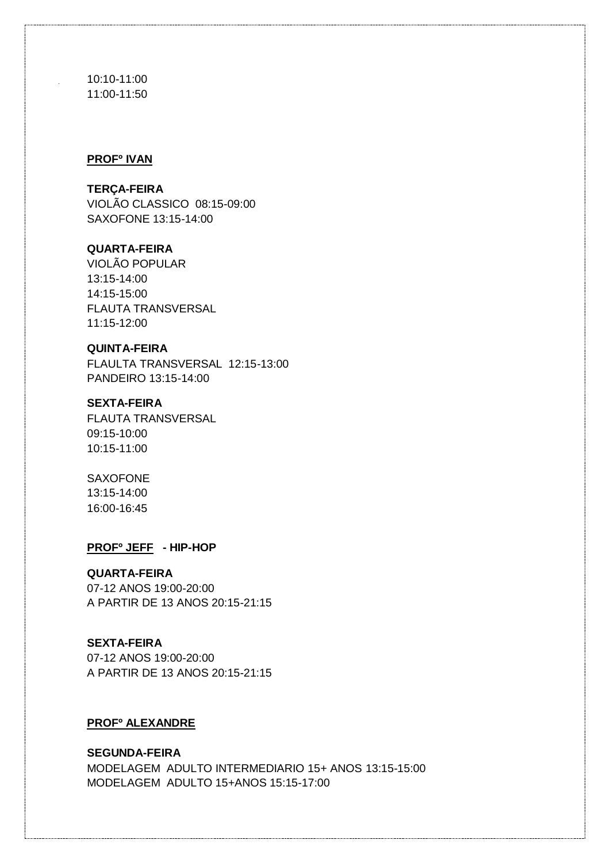10:10-11:00 11:00-11:50

#### **PROFº IVAN**

#### **TERÇA-FEIRA**

VIOLÃO CLASSICO 08:15-09:00 SAXOFONE 13:15-14:00

# **QUARTA-FEIRA**

VIOLÃO POPULAR 13:15-14:00 14:15-15:00 FLAUTA TRANSVERSAL 11:15-12:00

#### **QUINTA-FEIRA**

FLAULTA TRANSVERSAL 12:15-13:00 PANDEIRO 13:15-14:00

#### **SEXTA-FEIRA**

FLAUTA TRANSVERSAL 09:15-10:00 10:15-11:00

#### SAXOFONE

13:15-14:00 16:00-16:45

#### **PROFº JEFF - HIP-HOP**

#### **QUARTA-FEIRA**

07-12 ANOS 19:00-20:00 A PARTIR DE 13 ANOS 20:15-21:15

#### **SEXTA-FEIRA**

07-12 ANOS 19:00-20:00 A PARTIR DE 13 ANOS 20:15-21:15

# **PROFº ALEXANDRE**

#### **SEGUNDA-FEIRA**

MODELAGEM ADULTO INTERMEDIARIO 15+ ANOS 13:15-15:00 MODELAGEM ADULTO 15+ANOS 15:15-17:00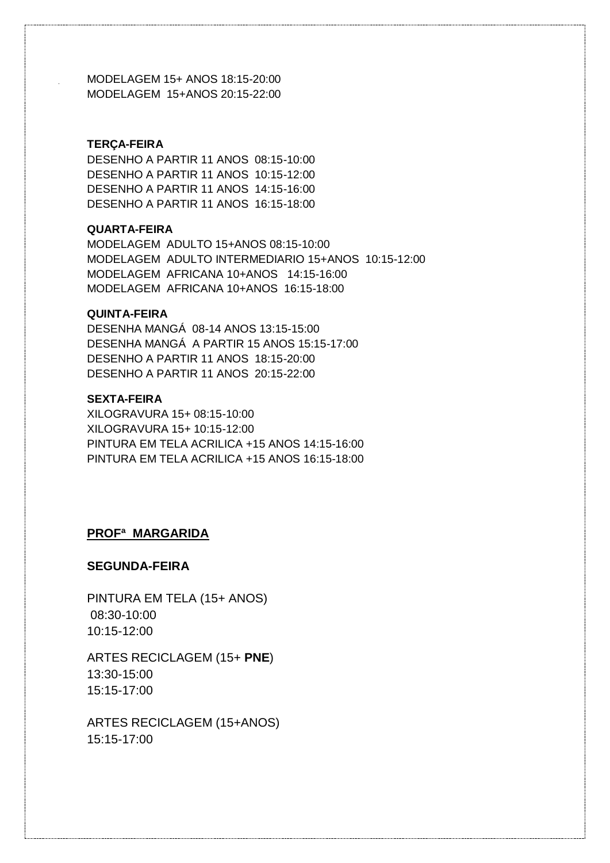MODELAGEM 15+ ANOS 18:15-20:00 MODELAGEM 15+ANOS 20:15-22:00

#### **TERÇA-FEIRA**

DESENHO A PARTIR 11 ANOS 08:15-10:00 DESENHO A PARTIR 11 ANOS 10:15-12:00 DESENHO A PARTIR 11 ANOS 14:15-16:00 DESENHO A PARTIR 11 ANOS 16:15-18:00

#### **QUARTA-FEIRA**

MODELAGEM ADULTO 15+ANOS 08:15-10:00 MODELAGEM ADULTO INTERMEDIARIO 15+ANOS 10:15-12:00 MODELAGEM AFRICANA 10+ANOS 14:15-16:00 MODELAGEM AFRICANA 10+ANOS 16:15-18:00

#### **QUINTA-FEIRA**

DESENHA MANGÁ 08-14 ANOS 13:15-15:00 DESENHA MANGÁ A PARTIR 15 ANOS 15:15-17:00 DESENHO A PARTIR 11 ANOS 18:15-20:00 DESENHO A PARTIR 11 ANOS 20:15-22:00

# **SEXTA-FEIRA**

XILOGRAVURA 15+ 08:15-10:00 XILOGRAVURA 15+ 10:15-12:00 PINTURA EM TELA ACRILICA +15 ANOS 14:15-16:00 PINTURA EM TELA ACRILICA +15 ANOS 16:15-18:00

# **PROFª MARGARIDA**

#### **SEGUNDA-FEIRA**

PINTURA EM TELA (15+ ANOS) 08:30-10:00 10:15-12:00

ARTES RECICLAGEM (15+ **PNE**) 13:30-15:00 15:15-17:00

ARTES RECICLAGEM (15+ANOS) 15:15-17:00